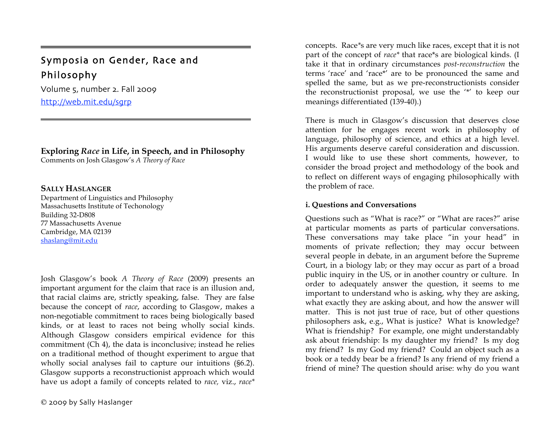# Symposia on Gender, Race and Philosophy

Volume 5, number 2. Fall 2009 http://web.mit.edu/sgrp

## **Exploring** *Race* **in Life, in Speech, and in Philosophy**

Comments on Josh Glasgow's *A Theory of Race*

### **SALLY HASLANGER**

=

Department of Linguistics and Philosophy Massachusetts Institute of Techonology Building 32-D808 77 Massachusetts Avenue Cambridge, MA 02139 shaslang@mit.edu

Josh Glasgow's book *A Theory of Race* (2009) presents an important argument for the claim that race is an illusion and, that racial claims are, strictly speaking, false. They are false because the concept of *race*, according to Glasgow, makes a non-negotiable commitment to races being biologically based kinds, or at least to races not being wholly social kinds. Although Glasgow considers empirical evidence for this commitment (Ch 4), the data is inconclusive; instead he relies on a traditional method of thought experiment to argue that wholly social analyses fail to capture our intuitions (§6.2). Glasgow supports a reconstructionist approach which would have us adopt a family of concepts related to *race,* viz., *race\** 

concepts. Race*\**s are very much like races, except that it is not part of the concept of *race\** that race\*s are biological kinds. (I take it that in ordinary circumstances *post-reconstruction* the terms 'race' and 'race\*' are to be pronounced the same and spelled the same, but as we pre-reconstructionists consider the reconstructionist proposal, we use the '\*' to keep our meanings differentiated (139-40).)

There is much in Glasgow's discussion that deserves close attention for he engages recent work in philosophy of language, philosophy of science, and ethics at a high level. His arguments deserve careful consideration and discussion. I would like to use these short comments, however, to consider the broad project and methodology of the book and to reflect on different ways of engaging philosophically with the problem of race.

### **i. Questions and Conversations**

Questions such as "What is race?" or "What are races?" arise at particular moments as parts of particular conversations. These conversations may take place "in your head" in moments of private reflection; they may occur between several people in debate, in an argument before the Supreme Court, in a biology lab; or they may occur as part of a broad public inquiry in the US, or in another country or culture. In order to adequately answer the question, it seems to me important to understand who is asking, why they are asking, what exactly they are asking about, and how the answer will matter. This is not just true of race, but of other questions philosophers ask, e.g., What is justice? What is knowledge? What is friendship? For example, one might understandably ask about friendship: Is my daughter my friend? Is my dog my friend? Is my God my friend? Could an object such as a book or a teddy bear be a friend? Is any friend of my friend a friend of mine? The question should arise: why do you want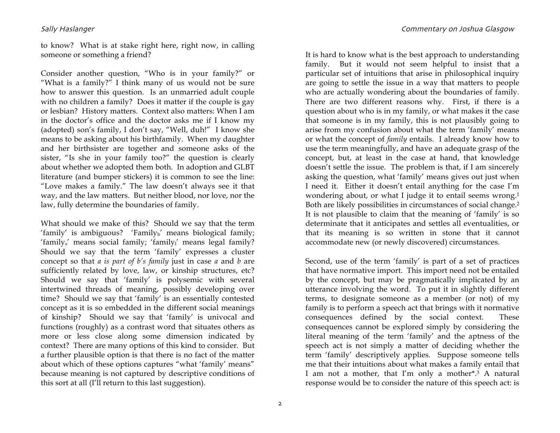to know? What is at stake right here, right now, in calling someone or something a friend?

Consider another question, "Who is in your family?" or "What is a family?" I think many of us would not be sure how to answer this question. Is an unmarried adult couple with no children a family? Does it matter if the couple is gay or lesbian? History matters. Context also matters: When I am in the doctor's office and the doctor asks me if I know my (adopted) son's family, I don't say, "Well, duh!" I know she means to be asking about his birthfamily. When my daughter and her birthsister are together and someone asks of the sister, "Is she in your family too?" the question is clearly about whether we adopted them both. In adoption and GLBT literature (and bumper stickers) it is common to see the line: "Love makes a family." The law doesn't always see it that way, and the law matters. But neither blood, nor love, nor the law, fully determine the boundaries of family.

What should we make of this? Should we say that the term 'family' is ambiguous? 'Family $_b$ ' means biological family; 'family<sub>s</sub>' means social family; 'family<sub>l</sub>' means legal family? Should we say that the term 'family' expresses a cluster concept so that *a is part of b's family* just in case *a* and *b* are sufficiently related by love, law, or kinship structures, etc? Should we say that 'family' is polysemic with several intertwined threads of meaning, possibly developing over time? Should we say that 'family' is an essentially contested concept as it is so embedded in the different social meanings of kinship? Should we say that 'family' is univocal and functions (roughly) as a contrast word that situates others as more or less close along some dimension indicated by context? There are many options of this kind to consider. But a further plausible option is that there is no fact of the matter about which of these options captures "what 'family' means" because meaning is not captured by descriptive conditions of this sort at all (I'll return to this last suggestion).

It is hard to know what is the best approach to understanding family. But it would not seem helpful to insist that a particular set of intuitions that arise in philosophical inquiry are going to settle the issue in a way that matters to people who are actually wondering about the boundaries of family. There are two different reasons why. First, if there is a question about who is in my family, or what makes it the case that someone is in my family, this is not plausibly going to arise from my confusion about what the term 'family' means or what the concept of *family* entails. I already know how to use the term meaningfully, and have an adequate grasp of the concept, but, at least in the case at hand, that knowledge doesn't settle the issue. The problem is that, if I am sincerely asking the question, what 'family' means gives out just when I need it. Either it doesn't entail anything for the case I'm wondering about, or what I judge it to entail seems wrong.1 Both are likely possibilities in circumstances of social change.2 It is not plausible to claim that the meaning of 'family' is so determinate that it anticipates and settles all eventualities, or that its meaning is so written in stone that it cannot accommodate new (or newly discovered) circumstances.

Second, use of the term 'family' is part of a set of practices that have normative import. This import need not be entailed by the concept, but may be pragmatically implicated by an utterance involving the word. To put it in slightly different terms, to designate someone as a member (or not) of my family is to perform a speech act that brings with it normative consequences defined by the social context. These consequences cannot be explored simply by considering the literal meaning of the term 'family' and the aptness of the speech act is not simply a matter of deciding whether the term 'family' descriptively applies. Suppose someone tells me that their intuitions about what makes a family entail that I am not a mother, that I'm only a mother\*.3 A natural response would be to consider the nature of this speech act: is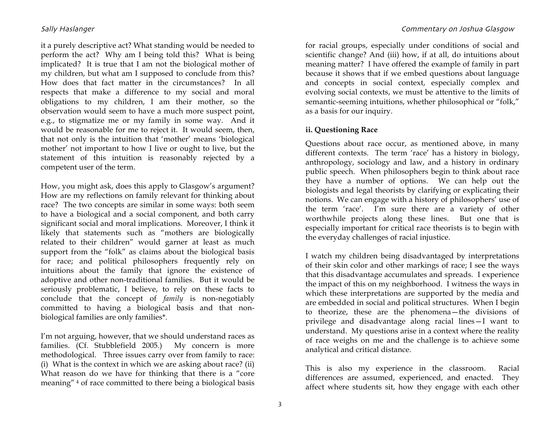it a purely descriptive act? What standing would be needed to perform the act? Why am I being told this? What is being implicated? It is true that I am not the biological mother of my children, but what am I supposed to conclude from this? How does that fact matter in the circumstances? In all respects that make a difference to my social and moral obligations to my children, I am their mother, so the observation would seem to have a much more suspect point, e.g., to stigmatize me or my family in some way. And it would be reasonable for me to reject it. It would seem, then, that not only is the intuition that 'mother' means 'biological mother' not important to how I live or ought to live, but the statement of this intuition is reasonably rejected by a competent user of the term.

How, you might ask, does this apply to Glasgow's argument? How are my reflections on family relevant for thinking about race? The two concepts are similar in some ways: both seem to have a biological and a social component, and both carry significant social and moral implications. Moreover, I think it likely that statements such as "mothers are biologically related to their children" would garner at least as much support from the "folk" as claims about the biological basis for race; and political philosophers frequently rely on intuitions about the family that ignore the existence of adoptive and other non-traditional families. But it would be seriously problematic, I believe, to rely on these facts to conclude that the concept of *family* is non-negotiably committed to having a biological basis and that nonbiological families are only families\*.

I'm not arguing, however, that we should understand races as families. (Cf. Stubblefield 2005.) My concern is more methodological. Three issues carry over from family to race: (i) What is the context in which we are asking about race? (ii) What reason do we have for thinking that there is a "core meaning" 4 of race committed to there being a biological basis

for racial groups, especially under conditions of social and scientific change? And (iii) how, if at all, do intuitions about meaning matter? I have offered the example of family in part because it shows that if we embed questions about language and concepts in social context, especially complex and evolving social contexts, we must be attentive to the limits of semantic-seeming intuitions, whether philosophical or "folk," as a basis for our inquiry.

### **ii. Questioning Race**

Questions about race occur, as mentioned above, in many different contexts. The term 'race' has a history in biology, anthropology, sociology and law, and a history in ordinary public speech. When philosophers begin to think about race they have a number of options. We can help out the biologists and legal theorists by clarifying or explicating their notions. We can engage with a history of philosophers' use of the term 'race'. I'm sure there are a variety of other worthwhile projects along these lines. But one that is especially important for critical race theorists is to begin with the everyday challenges of racial injustice.

I watch my children being disadvantaged by interpretations of their skin color and other markings of race; I see the ways that this disadvantage accumulates and spreads. I experience the impact of this on my neighborhood. I witness the ways in which these interpretations are supported by the media and are embedded in social and political structures. When I begin to theorize, these are the phenomena—the divisions of privilege and disadvantage along racial lines—I want to understand. My questions arise in a context where the reality of race weighs on me and the challenge is to achieve some analytical and critical distance.

This is also my experience in the classroom. Racial differences are assumed, experienced, and enacted. They affect where students sit, how they engage with each other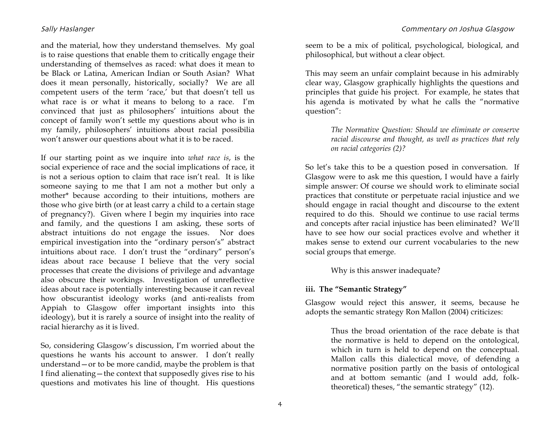and the material, how they understand themselves. My goal is to raise questions that enable them to critically engage their understanding of themselves as raced: what does it mean to be Black or Latina, American Indian or South Asian? What does it mean personally, historically, socially? We are all competent users of the term 'race,' but that doesn't tell us what race is or what it means to belong to a race. I'm convinced that just as philosophers' intuitions about the concept of family won't settle my questions about who is in my family, philosophers' intuitions about racial possibilia won't answer our questions about what it is to be raced.

If our starting point as we inquire into *what race is*, is the social experience of race and the social implications of race, it is not a serious option to claim that race isn't real. It is like someone saying to me that I am not a mother but only a mother\* because according to their intuitions, mothers are those who give birth (or at least carry a child to a certain stage of pregnancy?). Given where I begin my inquiries into race and family, and the questions I am asking, these sorts of abstract intuitions do not engage the issues. Nor does empirical investigation into the "ordinary person's" abstract intuitions about race. I don't trust the "ordinary" person's ideas about race because I believe that the very social processes that create the divisions of privilege and advantage also obscure their workings. Investigation of unreflective ideas about race is potentially interesting because it can reveal how obscurantist ideology works (and anti-realists from Appiah to Glasgow offer important insights into this ideology), but it is rarely a source of insight into the reality of racial hierarchy as it is lived.

So, considering Glasgow's discussion, I'm worried about the questions he wants his account to answer. I don't really understand—or to be more candid, maybe the problem is that I find alienating—the context that supposedly gives rise to his questions and motivates his line of thought. His questions

seem to be a mix of political, psychological, biological, and philosophical, but without a clear object.

This may seem an unfair complaint because in his admirably clear way, Glasgow graphically highlights the questions and principles that guide his project. For example, he states that his agenda is motivated by what he calls the "normative question":

> *The Normative Question: Should we eliminate or conserve racial discourse and thought, as well as practices that rely on racial categories (2)?*

So let's take this to be a question posed in conversation. If Glasgow were to ask me this question, I would have a fairly simple answer: Of course we should work to eliminate social practices that constitute or perpetuate racial injustice and we should engage in racial thought and discourse to the extent required to do this. Should we continue to use racial terms and concepts after racial injustice has been eliminated? We'll have to see how our social practices evolve and whether it makes sense to extend our current vocabularies to the new social groups that emerge.

Why is this answer inadequate?

### **iii. The "Semantic Strategy"**

Glasgow would reject this answer, it seems, because he adopts the semantic strategy Ron Mallon (2004) criticizes:

> Thus the broad orientation of the race debate is that the normative is held to depend on the ontological, which in turn is held to depend on the conceptual. Mallon calls this dialectical move, of defending a normative position partly on the basis of ontological and at bottom semantic (and I would add, folktheoretical) theses, "the semantic strategy" (12).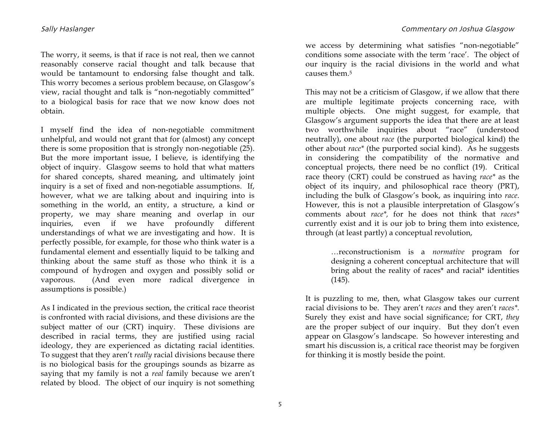The worry, it seems, is that if race is not real, then we cannot reasonably conserve racial thought and talk because that would be tantamount to endorsing false thought and talk. This worry becomes a serious problem because, on Glasgow's view, racial thought and talk is "non-negotiably committed" to a biological basis for race that we now know does not obtain.

I myself find the idea of non-negotiable commitment unhelpful, and would not grant that for (almost) any concept there is some proposition that is strongly non-negotiable (25). But the more important issue, I believe, is identifying the object of inquiry. Glasgow seems to hold that what matters for shared concepts, shared meaning, and ultimately joint inquiry is a set of fixed and non-negotiable assumptions. If, however, what we are talking about and inquiring into is something in the world, an entity, a structure, a kind or property, we may share meaning and overlap in our inquiries, even if we have profoundly different understandings of what we are investigating and how. It is perfectly possible, for example, for those who think water is a fundamental element and essentially liquid to be talking and thinking about the same stuff as those who think it is a compound of hydrogen and oxygen and possibly solid or vaporous. (And even more radical divergence in assumptions is possible.)

As I indicated in the previous section, the critical race theorist is confronted with racial divisions, and these divisions are the subject matter of our (CRT) inquiry. These divisions are described in racial terms, they are justified using racial ideology, they are experienced as dictating racial identities. To suggest that they aren't *really* racial divisions because there is no biological basis for the groupings sounds as bizarre as saying that my family is not a *real* family because we aren't related by blood. The object of our inquiry is not something we access by determining what satisfies "non-negotiable" conditions some associate with the term 'race'. The object of our inquiry is the racial divisions in the world and what causes them.5

This may not be a criticism of Glasgow, if we allow that there are multiple legitimate projects concerning race, with multiple objects. One might suggest, for example, that Glasgow's argument supports the idea that there are at least two worthwhile inquiries about "race" (understood neutrally), one about *race* (the purported biological kind) the other about *race\** (the purported social kind). As he suggests in considering the compatibility of the normative and conceptual projects, there need be no conflict (19). Critical race theory (CRT) could be construed as having *race\** as the object of its inquiry, and philosophical race theory (PRT), including the bulk of Glasgow's book, as inquiring into *race*. However, this is not a plausible interpretation of Glasgow's comments about *race\*,* for he does not think that *races\**  currently exist and it is our job to bring them into existence, through (at least partly) a conceptual revolution,

> …reconstructionism is a *normative* program for designing a coherent conceptual architecture that will bring about the reality of races\* and racial\* identities  $(145)$ .

It is puzzling to me, then, what Glasgow takes our current racial divisions to be. They aren't *races* and they aren't *races\*.* Surely they exist and have social significance; for CRT, *they* are the proper subject of our inquiry. But they don't even appear on Glasgow's landscape. So however interesting and smart his discussion is, a critical race theorist may be forgiven for thinking it is mostly beside the point.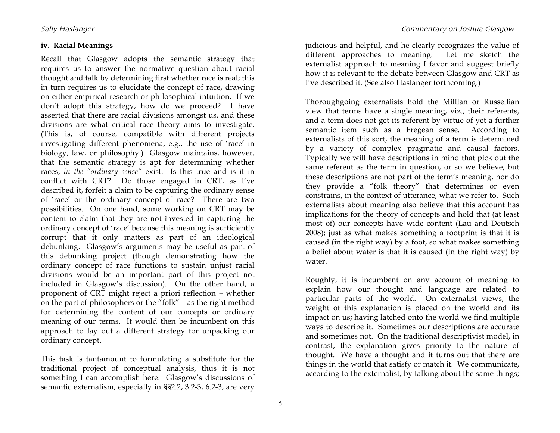#### **iv. Racial Meanings**

Recall that Glasgow adopts the semantic strategy that requires us to answer the normative question about racial thought and talk by determining first whether race is real; this in turn requires us to elucidate the concept of race, drawing on either empirical research or philosophical intuition. If we don't adopt this strategy, how do we proceed? I have asserted that there are racial divisions amongst us, and these divisions are what critical race theory aims to investigate. (This is, of course, compatible with different projects investigating different phenomena, e.g., the use of 'race' in biology, law, or philosophy.) Glasgow maintains, however, that the semantic strategy is apt for determining whether races, *in the "ordinary sense"* exist. Is this true and is it in conflict with CRT? Do those engaged in CRT, as I've described it, forfeit a claim to be capturing the ordinary sense of 'race' or the ordinary concept of race? There are two possibilities. On one hand, some working on CRT may be content to claim that they are not invested in capturing the ordinary concept of 'race' because this meaning is sufficiently corrupt that it only matters as part of an ideological debunking. Glasgow's arguments may be useful as part of this debunking project (though demonstrating how the ordinary concept of race functions to sustain unjust racial divisions would be an important part of this project not included in Glasgow's discussion). On the other hand, a proponent of CRT might reject a priori reflection – whether on the part of philosophers or the "folk" – as the right method for determining the content of our concepts or ordinary meaning of our terms. It would then be incumbent on this approach to lay out a different strategy for unpacking our ordinary concept.

This task is tantamount to formulating a substitute for the traditional project of conceptual analysis, thus it is not something I can accomplish here. Glasgow's discussions of semantic externalism, especially in §§2.2, 3.2-3, 6.2-3, are very

judicious and helpful, and he clearly recognizes the value of different approaches to meaning. Let me sketch the externalist approach to meaning I favor and suggest briefly how it is relevant to the debate between Glasgow and CRT as I've described it. (See also Haslanger forthcoming.)

Thoroughgoing externalists hold the Millian or Russellian view that terms have a single meaning, viz., their referents, and a term does not get its referent by virtue of yet a further semantic item such as a Fregean sense. According to externalists of this sort, the meaning of a term is determined by a variety of complex pragmatic and causal factors. Typically we will have descriptions in mind that pick out the same referent as the term in question, or so we believe, but these descriptions are not part of the term's meaning, nor do they provide a "folk theory" that determines or even constrains, in the context of utterance, what we refer to. Such externalists about meaning also believe that this account has implications for the theory of concepts and hold that (at least most of) our concepts have wide content (Lau and Deutsch 2008); just as what makes something a footprint is that it is caused (in the right way) by a foot, so what makes something a belief about water is that it is caused (in the right way) by water.

Roughly, it is incumbent on any account of meaning to explain how our thought and language are related to particular parts of the world. On externalist views, the weight of this explanation is placed on the world and its impact on us; having latched onto the world we find multiple ways to describe it. Sometimes our descriptions are accurate and sometimes not. On the traditional descriptivist model, in contrast, the explanation gives priority to the nature of thought. We have a thought and it turns out that there are things in the world that satisfy or match it. We communicate, according to the externalist, by talking about the same things;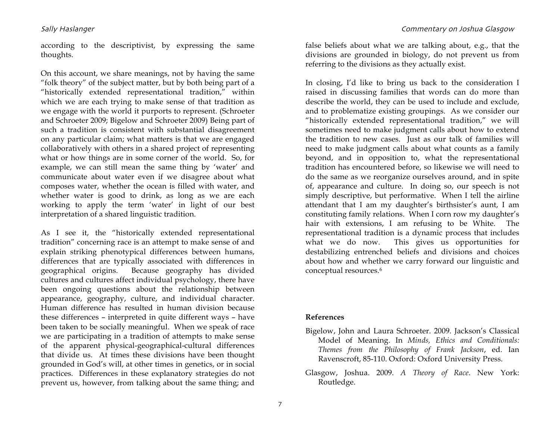according to the descriptivist, by expressing the same thoughts.

On this account, we share meanings, not by having the same "folk theory" of the subject matter, but by both being part of a "historically extended representational tradition," within which we are each trying to make sense of that tradition as we engage with the world it purports to represent. (Schroeter and Schroeter 2009; Bigelow and Schroeter 2009) Being part of such a tradition is consistent with substantial disagreement on any particular claim; what matters is that we are engaged collaboratively with others in a shared project of representing what or how things are in some corner of the world. So, for example, we can still mean the same thing by 'water' and communicate about water even if we disagree about what composes water, whether the ocean is filled with water, and whether water is good to drink, as long as we are each working to apply the term 'water' in light of our best interpretation of a shared linguistic tradition.

As I see it, the "historically extended representational tradition" concerning race is an attempt to make sense of and explain striking phenotypical differences between humans, differences that are typically associated with differences in geographical origins. Because geography has divided cultures and cultures affect individual psychology, there have been ongoing questions about the relationship between appearance, geography, culture, and individual character. Human difference has resulted in human division because these differences – interpreted in quite different ways – have been taken to be socially meaningful. When we speak of race we are participating in a tradition of attempts to make sense of the apparent physical-geographical-cultural differences that divide us. At times these divisions have been thought grounded in God's will, at other times in genetics, or in social practices. Differences in these explanatory strategies do not prevent us, however, from talking about the same thing; and

false beliefs about what we are talking about, e.g., that the divisions are grounded in biology, do not prevent us from referring to the divisions as they actually exist.

In closing, I'd like to bring us back to the consideration I raised in discussing families that words can do more than describe the world, they can be used to include and exclude, and to problematize existing groupings. As we consider our "historically extended representational tradition," we will sometimes need to make judgment calls about how to extend the tradition to new cases. Just as our talk of families will need to make judgment calls about what counts as a family beyond, and in opposition to, what the representational tradition has encountered before, so likewise we will need to do the same as we reorganize ourselves around, and in spite of, appearance and culture. In doing so, our speech is not simply descriptive, but performative. When I tell the airline attendant that I am my daughter's birthsister's aunt, I am constituting family relations. When I corn row my daughter's hair with extensions, I am refusing to be White. The representational tradition is a dynamic process that includes what we do now. This gives us opportunities for destabilizing entrenched beliefs and divisions and choices about how and whether we carry forward our linguistic and conceptual resources.6

#### **References**

- Bigelow, John and Laura Schroeter. 2009. Jackson's Classical Model of Meaning. In *Minds, Ethics and Conditionals: Themes from the Philosophy of Frank Jackson*, ed. Ian Ravenscroft, 85-110. Oxford: Oxford University Press.
- Glasgow, Joshua. 2009. *A Theory of Race*. New York: Routledge.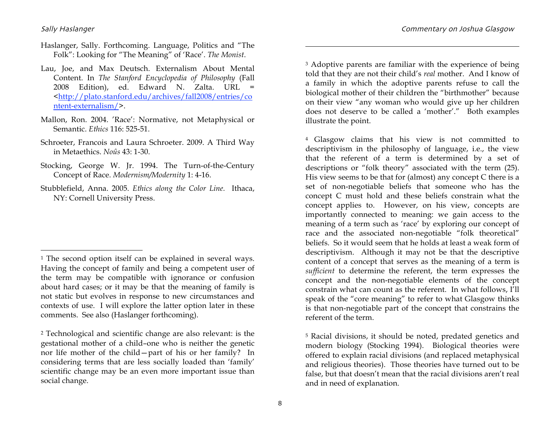$\overline{a}$ 

- Haslanger, Sally. Forthcoming. Language, Politics and "The Folk": Looking for "The Meaning" of 'Race'. *The Monist*.
- Lau, Joe, and Max Deutsch. Externalism About Mental Content. In *The Stanford Encyclopedia of Philosophy* (Fall 2008 Edition), ed. Edward N. Zalta. URL = <http://plato.stanford.edu/archives/fall2008/entries/co ntent-externalism/>.
- Mallon, Ron. 2004. 'Race': Normative, not Metaphysical or Semantic. *Ethics* 116: 525-51.
- Schroeter, Francois and Laura Schroeter. 2009. A Third Way in Metaethics. *Noûs* 43: 1-30.
- Stocking, George W. Jr. 1994. The Turn-of-the-Century Concept of Race. *Modernism/Modernity* 1: 4-16.
- Stubblefield, Anna. 2005. *Ethics along the Color Line.* Ithaca, NY: Cornell University Press.

<sup>3</sup> Adoptive parents are familiar with the experience of being told that they are not their child's *real* mother. And I know of a family in which the adoptive parents refuse to call the biological mother of their children the "birthmother" because on their view "any woman who would give up her children does not deserve to be called a 'mother'." Both examples illustrate the point.

4 Glasgow claims that his view is not committed to descriptivism in the philosophy of language, i.e., the view that the referent of a term is determined by a set of descriptions or "folk theory" associated with the term (25). His view seems to be that for (almost) any concept C there is a set of non-negotiable beliefs that someone who has the concept C must hold and these beliefs constrain what the concept applies to. However, on his view, concepts are importantly connected to meaning: we gain access to the meaning of a term such as 'race' by exploring our concept of race and the associated non-negotiable "folk theoretical" beliefs. So it would seem that he holds at least a weak form of descriptivism. Although it may not be that the descriptive content of a concept that serves as the meaning of a term is *sufficient* to determine the referent, the term expresses the concept and the non-negotiable elements of the concept constrain what can count as the referent. In what follows, I'll speak of the "core meaning" to refer to what Glasgow thinks is that non-negotiable part of the concept that constrains the referent of the term.

 $\overline{a}$ 

<sup>&</sup>lt;sup>1</sup> The second option itself can be explained in several ways. Having the concept of family and being a competent user of the term may be compatible with ignorance or confusion about hard cases; or it may be that the meaning of family is not static but evolves in response to new circumstances and contexts of use. I will explore the latter option later in these comments. See also (Haslanger forthcoming).

<sup>2</sup> Technological and scientific change are also relevant: is the gestational mother of a child–one who is neither the genetic nor life mother of the child—part of his or her family? In considering terms that are less socially loaded than 'family' scientific change may be an even more important issue than social change.

<sup>5</sup> Racial divisions, it should be noted, predated genetics and modern biology (Stocking 1994). Biological theories were offered to explain racial divisions (and replaced metaphysical and religious theories). Those theories have turned out to be false, but that doesn't mean that the racial divisions aren't real and in need of explanation.